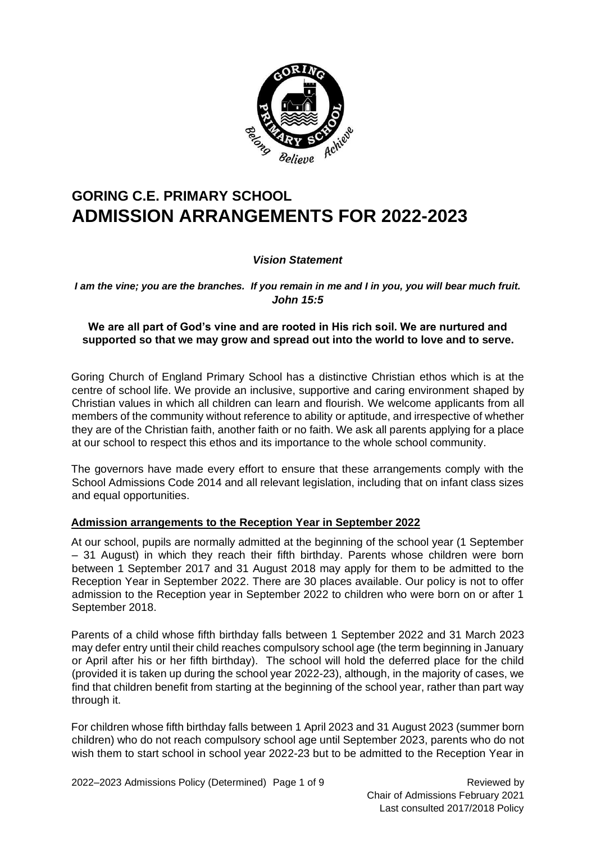

## **GORING C.E. PRIMARY SCHOOL ADMISSION ARRANGEMENTS FOR 2022-2023**

#### *Vision Statement*

*I am the vine; you are the branches. If you remain in me and I in you, you will bear much fruit. John 15:5* 

#### **We are all part of God's vine and are rooted in His rich soil. We are nurtured and supported so that we may grow and spread out into the world to love and to serve.**

Goring Church of England Primary School has a distinctive Christian ethos which is at the centre of school life. We provide an inclusive, supportive and caring environment shaped by Christian values in which all children can learn and flourish. We welcome applicants from all members of the community without reference to ability or aptitude, and irrespective of whether they are of the Christian faith, another faith or no faith. We ask all parents applying for a place at our school to respect this ethos and its importance to the whole school community.

The governors have made every effort to ensure that these arrangements comply with the School Admissions Code 2014 and all relevant legislation, including that on infant class sizes and equal opportunities.

#### **Admission arrangements to the Reception Year in September 2022**

At our school, pupils are normally admitted at the beginning of the school year (1 September – 31 August) in which they reach their fifth birthday. Parents whose children were born between 1 September 2017 and 31 August 2018 may apply for them to be admitted to the Reception Year in September 2022. There are 30 places available. Our policy is not to offer admission to the Reception year in September 2022 to children who were born on or after 1 September 2018.

Parents of a child whose fifth birthday falls between 1 September 2022 and 31 March 2023 may defer entry until their child reaches compulsory school age (the term beginning in January or April after his or her fifth birthday). The school will hold the deferred place for the child (provided it is taken up during the school year 2022-23), although, in the majority of cases, we find that children benefit from starting at the beginning of the school year, rather than part way through it.

For children whose fifth birthday falls between 1 April 2023 and 31 August 2023 (summer born children) who do not reach compulsory school age until September 2023, parents who do not wish them to start school in school year 2022-23 but to be admitted to the Reception Year in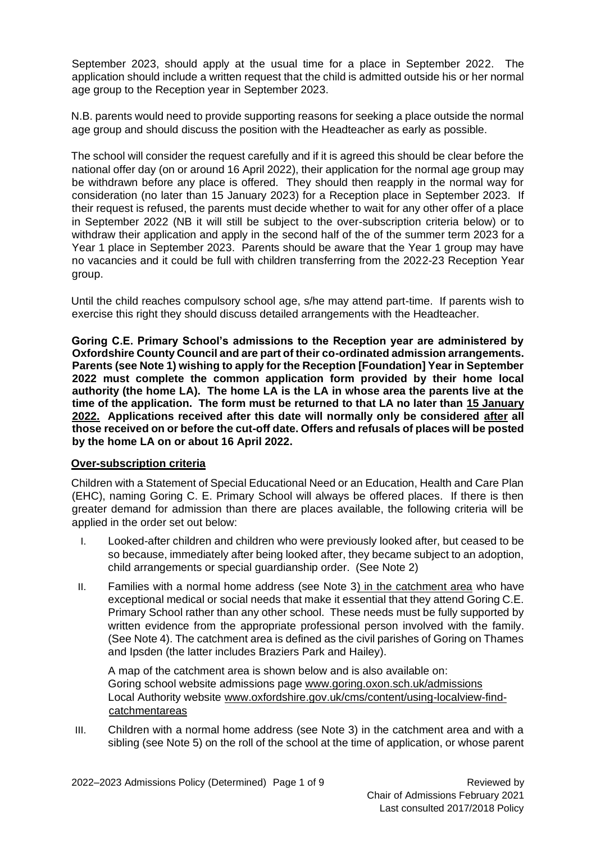September 2023, should apply at the usual time for a place in September 2022. The application should include a written request that the child is admitted outside his or her normal age group to the Reception year in September 2023.

N.B. parents would need to provide supporting reasons for seeking a place outside the normal age group and should discuss the position with the Headteacher as early as possible.

The school will consider the request carefully and if it is agreed this should be clear before the national offer day (on or around 16 April 2022), their application for the normal age group may be withdrawn before any place is offered. They should then reapply in the normal way for consideration (no later than 15 January 2023) for a Reception place in September 2023. If their request is refused, the parents must decide whether to wait for any other offer of a place in September 2022 (NB it will still be subject to the over-subscription criteria below) or to withdraw their application and apply in the second half of the of the summer term 2023 for a Year 1 place in September 2023. Parents should be aware that the Year 1 group may have no vacancies and it could be full with children transferring from the 2022-23 Reception Year group.

Until the child reaches compulsory school age, s/he may attend part-time. If parents wish to exercise this right they should discuss detailed arrangements with the Headteacher.

**Goring C.E. Primary School's admissions to the Reception year are administered by Oxfordshire County Council and are part of their co-ordinated admission arrangements. Parents (see Note 1) wishing to apply for the Reception [Foundation] Year in September 2022 must complete the common application form provided by their home local authority (the home LA). The home LA is the LA in whose area the parents live at the time of the application. The form must be returned to that LA no later than 15 January 2022. Applications received after this date will normally only be considered after all those received on or before the cut-off date. Offers and refusals of places will be posted by the home LA on or about 16 April 2022.**

#### **Over-subscription criteria**

Children with a Statement of Special Educational Need or an Education, Health and Care Plan (EHC), naming Goring C. E. Primary School will always be offered places. If there is then greater demand for admission than there are places available, the following criteria will be applied in the order set out below:

- I. Looked-after children and children who were previously looked after, but ceased to be so because, immediately after being looked after, they became subject to an adoption, child arrangements or special guardianship order. (See Note 2)
- II. Families with a normal home address (see Note 3) in the catchment area who have exceptional medical or social needs that make it essential that they attend Goring C.E. Primary School rather than any other school. These needs must be fully supported by written evidence from the appropriate professional person involved with the family. (See Note 4). The catchment area is defined as the civil parishes of Goring on Thames and Ipsden (the latter includes Braziers Park and Hailey).

A map of the catchment area is shown below and is also available on: Goring school website admissions page [www.goring.oxon.sch.uk/admissions](about:blank) Local Authority website [www.oxfordshire.gov.uk/cms/content/using-localview-find](about:blank)[catchmentareas](about:blank)

III. Children with a normal home address (see Note 3) in the catchment area and with a sibling (see Note 5) on the roll of the school at the time of application, or whose parent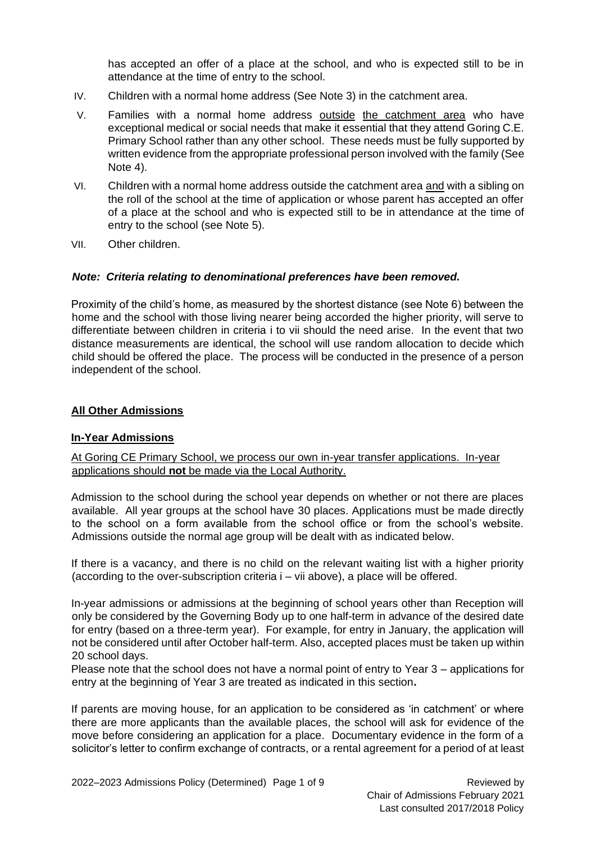has accepted an offer of a place at the school, and who is expected still to be in attendance at the time of entry to the school.

- IV. Children with a normal home address (See Note 3) in the catchment area.
- V. Families with a normal home address outside the catchment area who have exceptional medical or social needs that make it essential that they attend Goring C.E. Primary School rather than any other school. These needs must be fully supported by written evidence from the appropriate professional person involved with the family (See Note 4).
- VI. Children with a normal home address outside the catchment area and with a sibling on the roll of the school at the time of application or whose parent has accepted an offer of a place at the school and who is expected still to be in attendance at the time of entry to the school (see Note 5).
- VII. Other children.

#### *Note: Criteria relating to denominational preferences have been removed.*

Proximity of the child's home, as measured by the shortest distance (see Note 6) between the home and the school with those living nearer being accorded the higher priority, will serve to differentiate between children in criteria i to vii should the need arise. In the event that two distance measurements are identical, the school will use random allocation to decide which child should be offered the place. The process will be conducted in the presence of a person independent of the school.

#### **All Other Admissions**

#### **In-Year Admissions**

#### At Goring CE Primary School, we process our own in-year transfer applications. In-year applications should **not** be made via the Local Authority.

Admission to the school during the school year depends on whether or not there are places available. All year groups at the school have 30 places. Applications must be made directly to the school on a form available from the school office or from the school's website. Admissions outside the normal age group will be dealt with as indicated below.

If there is a vacancy, and there is no child on the relevant waiting list with a higher priority (according to the over-subscription criteria i – vii above), a place will be offered.

In-year admissions or admissions at the beginning of school years other than Reception will only be considered by the Governing Body up to one half-term in advance of the desired date for entry (based on a three-term year). For example, for entry in January, the application will not be considered until after October half-term. Also, accepted places must be taken up within 20 school days.

Please note that the school does not have a normal point of entry to Year 3 – applications for entry at the beginning of Year 3 are treated as indicated in this section**.**

If parents are moving house, for an application to be considered as 'in catchment' or where there are more applicants than the available places, the school will ask for evidence of the move before considering an application for a place. Documentary evidence in the form of a solicitor's letter to confirm exchange of contracts, or a rental agreement for a period of at least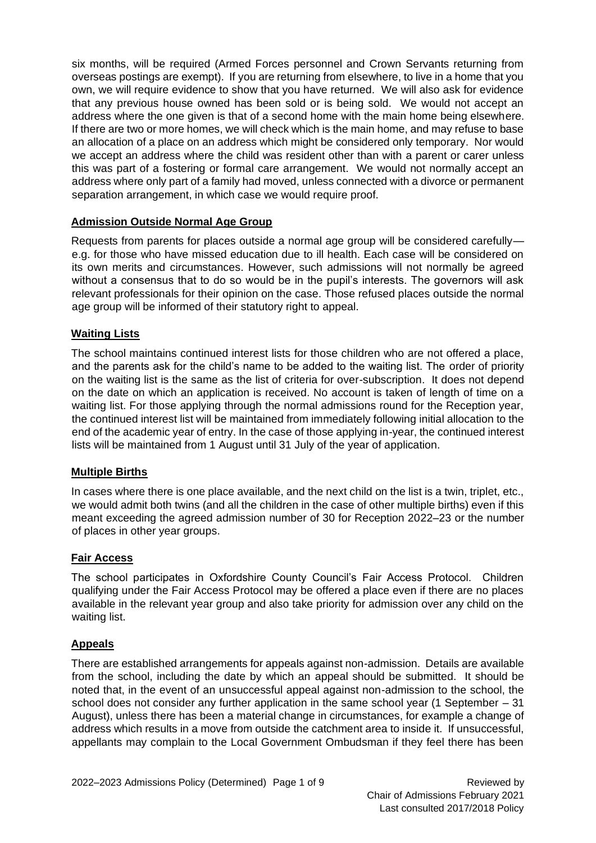six months, will be required (Armed Forces personnel and Crown Servants returning from overseas postings are exempt). If you are returning from elsewhere, to live in a home that you own, we will require evidence to show that you have returned. We will also ask for evidence that any previous house owned has been sold or is being sold. We would not accept an address where the one given is that of a second home with the main home being elsewhere. If there are two or more homes, we will check which is the main home, and may refuse to base an allocation of a place on an address which might be considered only temporary. Nor would we accept an address where the child was resident other than with a parent or carer unless this was part of a fostering or formal care arrangement. We would not normally accept an address where only part of a family had moved, unless connected with a divorce or permanent separation arrangement, in which case we would require proof.

#### **Admission Outside Normal Age Group**

Requests from parents for places outside a normal age group will be considered carefully e.g. for those who have missed education due to ill health. Each case will be considered on its own merits and circumstances. However, such admissions will not normally be agreed without a consensus that to do so would be in the pupil's interests. The governors will ask relevant professionals for their opinion on the case. Those refused places outside the normal age group will be informed of their statutory right to appeal.

#### **Waiting Lists**

The school maintains continued interest lists for those children who are not offered a place, and the parents ask for the child's name to be added to the waiting list. The order of priority on the waiting list is the same as the list of criteria for over-subscription. It does not depend on the date on which an application is received. No account is taken of length of time on a waiting list. For those applying through the normal admissions round for the Reception year, the continued interest list will be maintained from immediately following initial allocation to the end of the academic year of entry. In the case of those applying in-year, the continued interest lists will be maintained from 1 August until 31 July of the year of application.

#### **Multiple Births**

In cases where there is one place available, and the next child on the list is a twin, triplet, etc., we would admit both twins (and all the children in the case of other multiple births) even if this meant exceeding the agreed admission number of 30 for Reception 2022–23 or the number of places in other year groups.

#### **Fair Access**

The school participates in Oxfordshire County Council's Fair Access Protocol. Children qualifying under the Fair Access Protocol may be offered a place even if there are no places available in the relevant year group and also take priority for admission over any child on the waiting list.

#### **Appeals**

There are established arrangements for appeals against non-admission. Details are available from the school, including the date by which an appeal should be submitted. It should be noted that, in the event of an unsuccessful appeal against non-admission to the school, the school does not consider any further application in the same school year (1 September – 31 August), unless there has been a material change in circumstances, for example a change of address which results in a move from outside the catchment area to inside it. If unsuccessful, appellants may complain to the Local Government Ombudsman if they feel there has been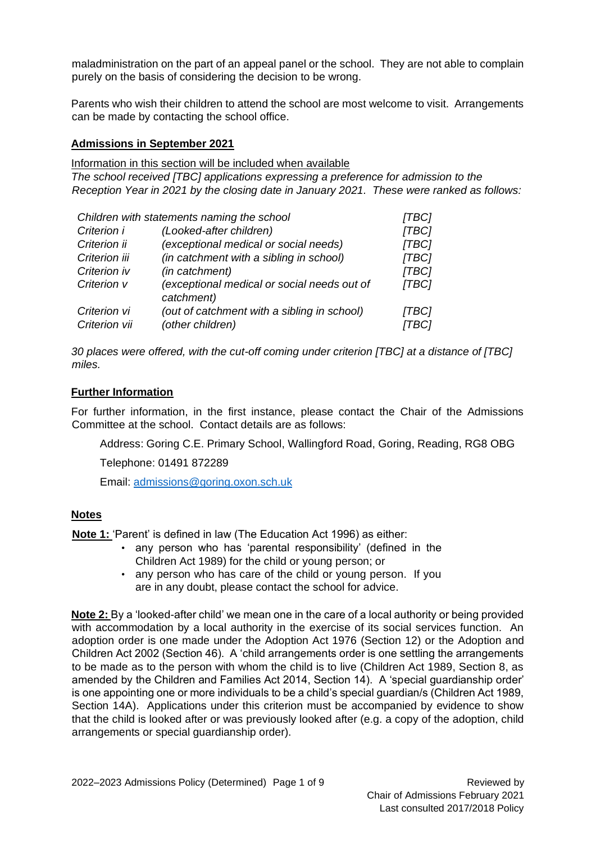maladministration on the part of an appeal panel or the school. They are not able to complain purely on the basis of considering the decision to be wrong.

Parents who wish their children to attend the school are most welcome to visit. Arrangements can be made by contacting the school office.

#### **Admissions in September 2021**

Information in this section will be included when available

*The school received [TBC] applications expressing a preference for admission to the Reception Year in 2021 by the closing date in January 2021. These were ranked as follows:* 

| Children with statements naming the school |                                                           | [TBC] |
|--------------------------------------------|-----------------------------------------------------------|-------|
| Criterion i                                | (Looked-after children)                                   | [TBC] |
| Criterion ii                               | (exceptional medical or social needs)                     | [TBC] |
| Criterion iii                              | (in catchment with a sibling in school)                   | [TBC] |
| Criterion iv                               | (in catchment)                                            | [TBC] |
| Criterion v                                | (exceptional medical or social needs out of<br>catchment) | [TBC] |
| Criterion vi                               | (out of catchment with a sibling in school)               | [TBC] |
| Criterion vii                              | (other children)                                          | TBC1  |

*30 places were offered, with the cut-off coming under criterion [TBC] at a distance of [TBC] miles.* 

#### **Further Information**

For further information, in the first instance, please contact the Chair of the Admissions Committee at the school. Contact details are as follows:

Address: Goring C.E. Primary School, Wallingford Road, Goring, Reading, RG8 OBG

Telephone: 01491 872289

Email: [admissions@goring.oxon.sch.uk](mailto:admissions@goring.oxon.sch.uk)

#### **Notes**

**Note 1:** 'Parent' is defined in law (The Education Act 1996) as either:

- any person who has 'parental responsibility' (defined in the Children Act 1989) for the child or young person; or
- any person who has care of the child or young person. If you are in any doubt, please contact the school for advice.

**Note 2:** By a 'looked-after child' we mean one in the care of a local authority or being provided with accommodation by a local authority in the exercise of its social services function. An adoption order is one made under the Adoption Act 1976 (Section 12) or the Adoption and Children Act 2002 (Section 46). A 'child arrangements order is one settling the arrangements to be made as to the person with whom the child is to live (Children Act 1989, Section 8, as amended by the Children and Families Act 2014, Section 14). A 'special guardianship order' is one appointing one or more individuals to be a child's special guardian/s (Children Act 1989, Section 14A). Applications under this criterion must be accompanied by evidence to show that the child is looked after or was previously looked after (e.g. a copy of the adoption, child arrangements or special guardianship order).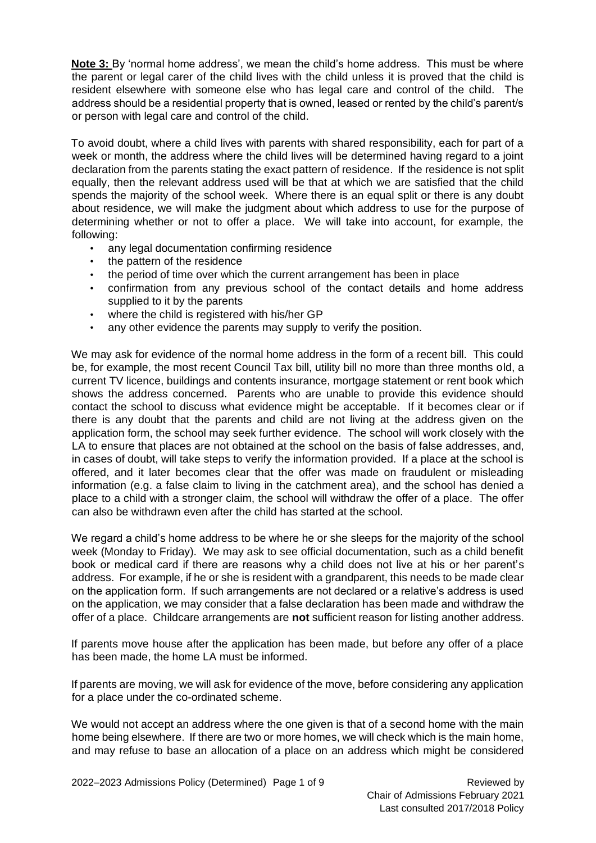**Note 3:** By 'normal home address', we mean the child's home address. This must be where the parent or legal carer of the child lives with the child unless it is proved that the child is resident elsewhere with someone else who has legal care and control of the child. The address should be a residential property that is owned, leased or rented by the child's parent/s or person with legal care and control of the child.

To avoid doubt, where a child lives with parents with shared responsibility, each for part of a week or month, the address where the child lives will be determined having regard to a joint declaration from the parents stating the exact pattern of residence. If the residence is not split equally, then the relevant address used will be that at which we are satisfied that the child spends the majority of the school week. Where there is an equal split or there is any doubt about residence, we will make the judgment about which address to use for the purpose of determining whether or not to offer a place. We will take into account, for example, the following:

- any legal documentation confirming residence
- the pattern of the residence
- the period of time over which the current arrangement has been in place
- confirmation from any previous school of the contact details and home address supplied to it by the parents
- where the child is registered with his/her GP
- any other evidence the parents may supply to verify the position.

We may ask for evidence of the normal home address in the form of a recent bill. This could be, for example, the most recent Council Tax bill, utility bill no more than three months old, a current TV licence, buildings and contents insurance, mortgage statement or rent book which shows the address concerned. Parents who are unable to provide this evidence should contact the school to discuss what evidence might be acceptable. If it becomes clear or if there is any doubt that the parents and child are not living at the address given on the application form, the school may seek further evidence. The school will work closely with the LA to ensure that places are not obtained at the school on the basis of false addresses, and, in cases of doubt, will take steps to verify the information provided. If a place at the school is offered, and it later becomes clear that the offer was made on fraudulent or misleading information (e.g. a false claim to living in the catchment area), and the school has denied a place to a child with a stronger claim, the school will withdraw the offer of a place. The offer can also be withdrawn even after the child has started at the school.

We regard a child's home address to be where he or she sleeps for the majority of the school week (Monday to Friday). We may ask to see official documentation, such as a child benefit book or medical card if there are reasons why a child does not live at his or her parent's address. For example, if he or she is resident with a grandparent, this needs to be made clear on the application form. If such arrangements are not declared or a relative's address is used on the application, we may consider that a false declaration has been made and withdraw the offer of a place. Childcare arrangements are **not** sufficient reason for listing another address.

If parents move house after the application has been made, but before any offer of a place has been made, the home LA must be informed.

If parents are moving, we will ask for evidence of the move, before considering any application for a place under the co-ordinated scheme.

We would not accept an address where the one given is that of a second home with the main home being elsewhere. If there are two or more homes, we will check which is the main home, and may refuse to base an allocation of a place on an address which might be considered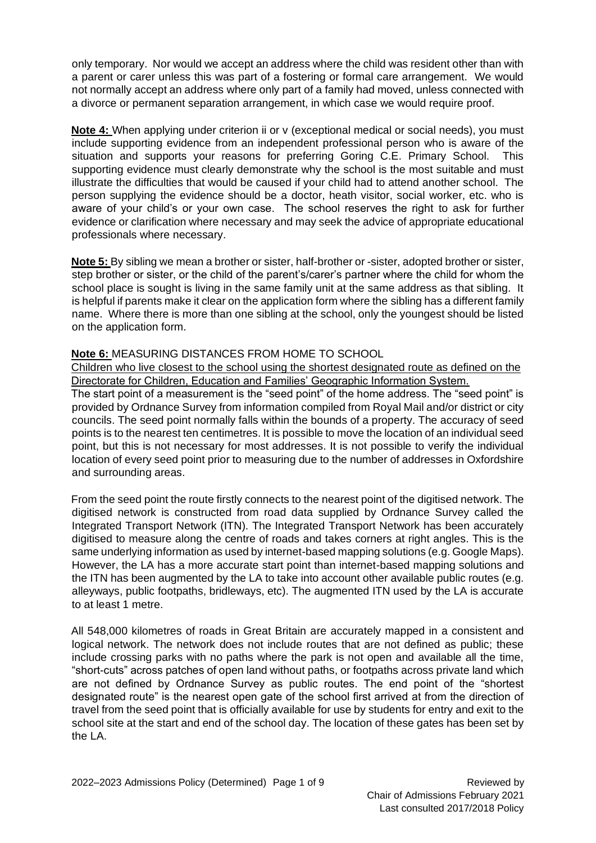only temporary. Nor would we accept an address where the child was resident other than with a parent or carer unless this was part of a fostering or formal care arrangement. We would not normally accept an address where only part of a family had moved, unless connected with a divorce or permanent separation arrangement, in which case we would require proof.

**Note 4:** When applying under criterion ii or v (exceptional medical or social needs), you must include supporting evidence from an independent professional person who is aware of the situation and supports your reasons for preferring Goring C.E. Primary School. This supporting evidence must clearly demonstrate why the school is the most suitable and must illustrate the difficulties that would be caused if your child had to attend another school. The person supplying the evidence should be a doctor, heath visitor, social worker, etc. who is aware of your child's or your own case. The school reserves the right to ask for further evidence or clarification where necessary and may seek the advice of appropriate educational professionals where necessary.

**Note 5:** By sibling we mean a brother or sister, half-brother or -sister, adopted brother or sister, step brother or sister, or the child of the parent's/carer's partner where the child for whom the school place is sought is living in the same family unit at the same address as that sibling. It is helpful if parents make it clear on the application form where the sibling has a different family name. Where there is more than one sibling at the school, only the youngest should be listed on the application form.

#### **Note 6:** MEASURING DISTANCES FROM HOME TO SCHOOL

Children who live closest to the school using the shortest designated route as defined on the Directorate for Children, Education and Families' Geographic Information System.

The start point of a measurement is the "seed point" of the home address. The "seed point" is provided by Ordnance Survey from information compiled from Royal Mail and/or district or city councils. The seed point normally falls within the bounds of a property. The accuracy of seed points is to the nearest ten centimetres. It is possible to move the location of an individual seed point, but this is not necessary for most addresses. It is not possible to verify the individual location of every seed point prior to measuring due to the number of addresses in Oxfordshire and surrounding areas.

From the seed point the route firstly connects to the nearest point of the digitised network. The digitised network is constructed from road data supplied by Ordnance Survey called the Integrated Transport Network (ITN). The Integrated Transport Network has been accurately digitised to measure along the centre of roads and takes corners at right angles. This is the same underlying information as used by internet-based mapping solutions (e.g. Google Maps). However, the LA has a more accurate start point than internet-based mapping solutions and the ITN has been augmented by the LA to take into account other available public routes (e.g. alleyways, public footpaths, bridleways, etc). The augmented ITN used by the LA is accurate to at least 1 metre.

All 548,000 kilometres of roads in Great Britain are accurately mapped in a consistent and logical network. The network does not include routes that are not defined as public; these include crossing parks with no paths where the park is not open and available all the time, "short-cuts" across patches of open land without paths, or footpaths across private land which are not defined by Ordnance Survey as public routes. The end point of the "shortest designated route" is the nearest open gate of the school first arrived at from the direction of travel from the seed point that is officially available for use by students for entry and exit to the school site at the start and end of the school day. The location of these gates has been set by the LA.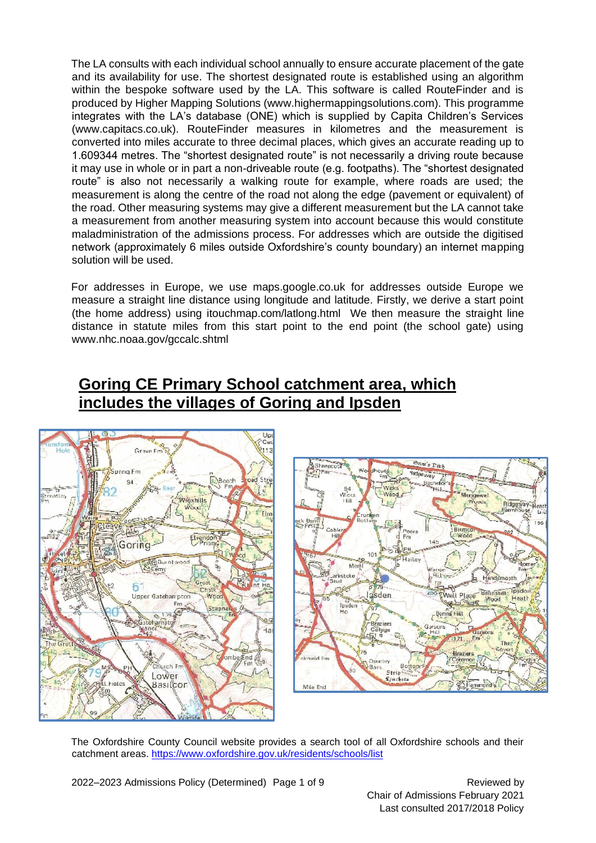The LA consults with each individual school annually to ensure accurate placement of the gate and its availability for use. The shortest designated route is established using an algorithm within the bespoke software used by the LA. This software is called RouteFinder and is produced by Higher Mapping Solutions (www.highermappingsolutions.com). This programme integrates with the LA's database (ONE) which is supplied by Capita Children's Services (www.capitacs.co.uk). RouteFinder measures in kilometres and the measurement is converted into miles accurate to three decimal places, which gives an accurate reading up to 1.609344 metres. The "shortest designated route" is not necessarily a driving route because it may use in whole or in part a non-driveable route (e.g. footpaths). The "shortest designated route" is also not necessarily a walking route for example, where roads are used; the measurement is along the centre of the road not along the edge (pavement or equivalent) of the road. Other measuring systems may give a different measurement but the LA cannot take a measurement from another measuring system into account because this would constitute maladministration of the admissions process. For addresses which are outside the digitised network (approximately 6 miles outside Oxfordshire's county boundary) an internet mapping solution will be used.

For addresses in Europe, we use maps.google.co.uk for addresses outside Europe we measure a straight line distance using longitude and latitude. Firstly, we derive a start point (the home address) using itouchmap.com/latlong.html We then measure the straight line distance in statute miles from this start point to the end point (the school gate) using www.nhc.noaa.gov/gccalc.shtml

## **Goring CE Primary School catchment area, which includes the villages of Goring and Ipsden**





The Oxfordshire County Council website provides a search tool of all Oxfordshire schools and their catchment areas. [https://www.oxfordshire.gov.uk/residents/schools/list](about:blank)

2022–2023 Admissions Policy (Determined) Page 1 of 9 Reviewed by

Chair of Admissions February 2021 Last consulted 2017/2018 Policy